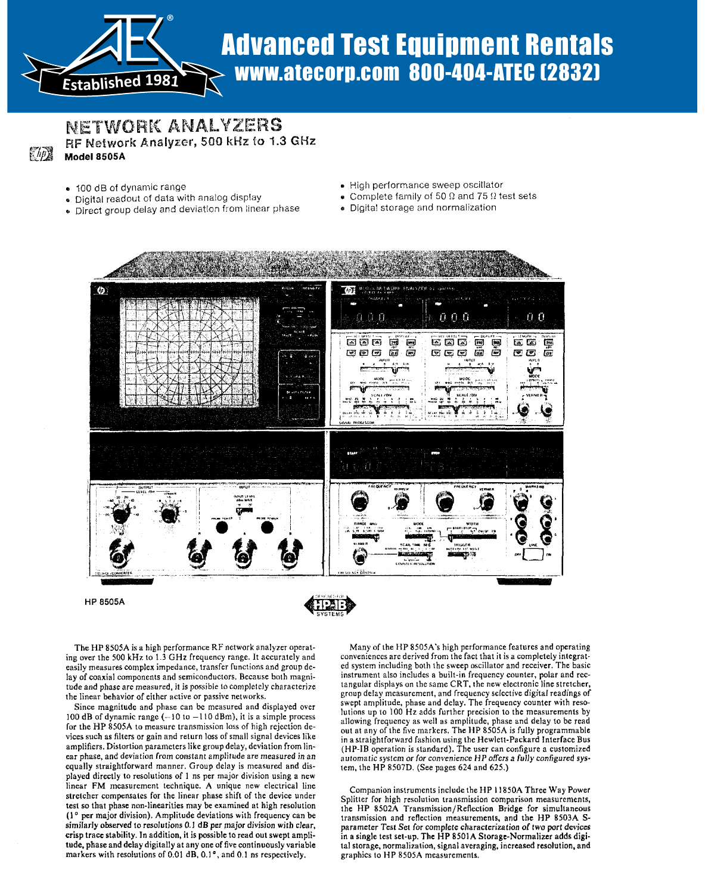

# $R_{\rm rshilched\ 1981}$  www.atecorp.com 800-404-ATEC (2832) Advanced Test Equipment Rentals

## **BERGER OF DEATH AND A** " Digital real digital real digital real digital value of display of analog display of  $\alpha$ RF Network Analyzer, 500 kHz to 1.3 GHz<br>Model 8505A

- 100 dB of dynamic range
- . Digital readout of data with analog display
- Direct group delay and deviation from linear phase
- · High performance sweep oscillator
- Complete family of 50  $\Omega$  and 75  $\Omega$  test sets

" High performance sweep of the performance sweep of the sweep of the sweep of the sweep of the sweep of the sweep of the sweep of the sweep of the sweep of the sweep of the sweep of the sweep of the sweep of the sweep of

· Digital storage and normalization



**HP 8505A** 



The HP 8505A is a high performance RF network analyzer operating over the 500 kHz to  $1.\overline{3}$  GHz frequency range. It accurately and easily measures complex impedance, transfer functions and group delay of coaxial components and semiconductors. Because both magnitude and phase are measured, it is possible to completely characterize the linear behavior of either active or passive networks.

Since magnitude and phase can be measured and displayed over for the HP 8605A to measurements by<br> $\frac{100 \text{ dB of dynamic range} (-10 \text{ to } -110 \text{ dBm})$ , it is a simple process allowing frequency as well as amplitude, phase and delay to be read for the HP 8505A to measure transmission loss of high rejection devices such as filters or gain and return loss of small signal devices like amplifiers. Distortion parameters like group delay, deviation from linear phase, and deviation from constant amplitude are measured in an equally straightforward manner. Group delay is measured and dis- tem, the HP 8507D. (See pages 624 and 625.) played directly to resolutions of 1 ns per major division using a new linear FM measurement technique. A unique new electrical line stretcher compensates for the linear phase shift of the device under<br>test so that phase non-linearities may be examined at high resolution st so that phase non-linearities may be examined at high resolution  $\mathbf{h}$  $s$  per major division). Amplitude deviations with frequency can be  $s_{\text{tr}}$ ,  $s_{\text{inter}}$ similarly observed to resolutions 0.1 dB per major division with clear,<br>crisp trace stability. In addition, it is possible to read out swept amplitude, phase and delay digitally at any one of five continuously variable markers with resolutions of 0.01 dB, 0.1°, and 0.1 ns respectively.

Many of the HP 8505A's high performance features and operating conveniences are derived from the fact that it is a completely integrated system including both the sweep oscillator and receiver. The basic instrument also includes a built-in frequency counter, polar and rectangular displays on the same CRT, the new electronic line stretcher, group delay measurement, and frequency selective digital readings of swept amplitude, phase and delay. The frequency counter with resolutions up to 100 Hz adds further precision to the measurements by out at any of the five markers. The HP 8505A is fully programmable in a straightforward fashion using the Hewlett-Packard Interface Bus  $(HP-IB$  operation is standard). The user can configure a customized automatic system or for convenience HP offers a fully configured sys-

nion instruments include the HP 11850A Three Way Power Splitter for high resolution transmission comparison measurements, the HP 8502A Transmission/Reflection Bridge for simultaneous transmission and reflection measurements, and the HP 8503A Sparameter Test Set for complete characterization of two port devices in a single test set-up. The HP 8501A Storage-Normalizer adds digital storage, normalization, signal averaging, increased resolution, and graphics to HP 8505A measurements .

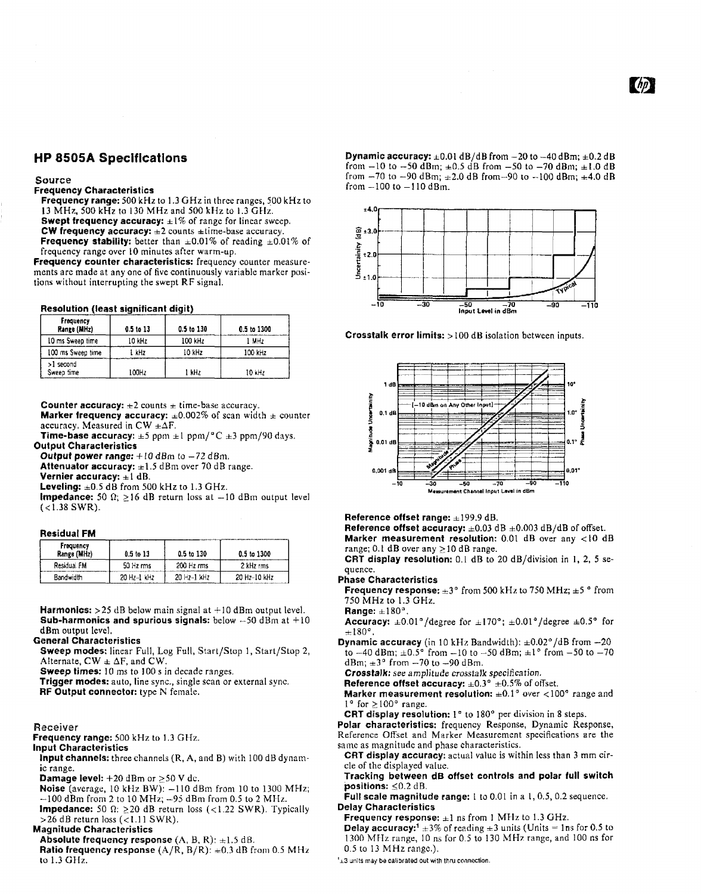## HP 8505A Specifications

#### Source

#### Frequency Characteristics

Frequency range: 500 kHz to 1.3 GHz in three ranges, 500 kHz to <sup>13</sup> MHz, <sup>500</sup> kHz to <sup>130</sup> MHz and <sup>500</sup> kHz to <sup>1</sup> .3 GHz. Swept frequency accuracy:  $\pm 1\%$  of range for linear sweep.<br>CW frequency accuracy:  $\pm 2$  counts  $\pm 1$  me-base accuracy. Frequency stability: better than  $\pm 0.01\%$  of reading  $\pm 0.01\%$  of frequency range over 10 minutes after warm-up.

Frequency counter characteristics: frequency counter measurements are made at any one of five continuously variable marker positions without interrupting the swept RF signal.

| Frequency<br>Range (MHz) | 0.5 to 13 | 0.5 to 130 | 0.5 to 1300 |
|--------------------------|-----------|------------|-------------|
| 10 ms Sweep time         | 10 kHz    | $100$ kHz  | 1 MHz       |
| 100 ms Sweep time        | l kHz     | 10 kHz     | 100 kHz     |
| >1 second<br>Sweep time  | 100Hz     | 1 kHz      | 10 kHz      |

Counter accuracy:  $\pm 2$  counts  $\pm$  time-base accuracy.

**Marker frequency accuracy:**  $\pm 0.002\%$  of scan width  $\pm$  counter accuracy. Measured in CW  $\pm \Delta F$ .

Time-base accuracy:  $\pm 5$  ppm  $\pm 1$  ppm/°C  $\pm 3$  ppm/90 days. Output Characteristics

Output power range:  $+10$  dBm to  $-72$  dBm.

Attenuator accuracy:  $\pm 1.5$  dBm over 70 dB range. Vernier accuracy:  $\pm 1$  dB.

Leveling:  $\pm 0.5$  dB from 500 kHz to 1.3 GHz.

**Impedance:** 50  $\Omega$ ;  $\geq$  16 dB return loss at  $-10$  dBm output level  $(*1.38* SWR).$ 

#### Residual FM

| Frequency<br>Range (MHz) | $0.5$ to $13$ | 0.5 to 130  | $0.5$ to $1300$ |
|--------------------------|---------------|-------------|-----------------|
| Residual FM              | 50 Hz rms     | 200 Hz rms  | 2 kHz rms       |
| <b>Bandwidth</b>         | 20 Hz-1 kHz   | 20 Hz-1 WHz | 20 Hz-10 kHz    |

Harmonics:  $>$  25 dB below main signal at  $+10$  dBm output level. **Sub-harmonics and spurious signals:** below  $-50$  dBm at  $+10$ dBm output level.

#### General Characteristics

Sweep modes: linear Full, Log Full, Start/Stop 1, Start/Stop 2, Alternate,  $CW \pm \Delta F$ , and CW.

Sweep times: 10 ms to 100 s in decade ranges.

Trigger modes: auto, line sync., single scan or external sync. RF Output connector: type N female.

#### Receiver

Frequency range: 500 kHz to 1.3 GHz.

Input Characteristics

Input channels: three channels (R, A, and B) with 100 dB dynamic range.

**Damage level:**  $+20$  dBm or  $\geq$ 50 V dc.

- Noise (average,  $10$  kHz BW):  $-110$  dBm from  $10$  to  $1300$  MHz;  $-100$  dBm from 2 to 10 MHz;  $-95$  dBm from 0.5 to 2 MHz.
- Impedance: 50  $\Omega$ :  $\geq$  20 dB return loss (<1.22 SWR). Typically

 $>$ 26 dB return loss (<1.11 SWR).

- Magnitude Characteristics
- Absolute frequency response  $(A, B, R)$ :  $\pm 1.5$  dB.
- Ratio frequency response  $(A/R, B/R)$ :  $\pm 0.3$  dB from 0.5 MHz to  $1.3$  GHz.

**Dynamic accuracy:**  $\pm 0.01$  dB/dB from  $-20$  to  $-40$  dBm;  $\pm 0.2$  dB<br>from  $-10$  to  $-50$  dBm;  $\pm 0.5$  dB from  $-50$  dB dBm;  $\pm 0.3$  dB from  $-10$  to  $-50$  dBm;  $\pm 0.5$  dB from  $-50$  to  $-70$  dBm;  $\pm 1.0$  dB from  $-70$  to  $-90$  dBm;  $\pm 2.0$  dB from-90 to  $-100$  dBm;  $\pm 4.0$  dB from  $-100$  to  $-110$  dBm.





Reference offset range:  $\pm 199.9$  dB.

Reference offset accuracy:  $\pm 0.03$  dB  $\pm 0.003$  dB/dB of offset. Marker measurement resolution:  $0.01$  dB over any  $<$ 10 dB range; 0.1 dB over any  $\geq$  10 dB range.

CRT display resolution: 0.1 dB to 20 dB/division in 1, 2, 5 sequence.

#### Phase Characteristics

**Frequency response:**  $\pm 3^{\circ}$  from 500 kHz to 750 MHz;  $\pm 5^{\circ}$  from <sup>750</sup> MHz to <sup>1</sup> .3 GHz.

Range:  $\pm 180^{\circ}$ .

Accuracy:  $\pm 0.01^{\circ}/\text{degree}$  for  $\pm 170^{\circ}$ ;  $\pm 0.01^{\circ}/\text{degree} \pm 0.5^{\circ}$  for  $\pm 180^{\circ}$  ,

Dynamic accuracy (in 10 kHz Bandwidth):  $\pm 0.02^{\circ}/\text{dB}$  from  $-20$ to  $-40$  dBm;  $\pm 0.5^{\circ}$  from  $-10$  to  $-50$  dBm;  $\pm 1^{\circ}$  from  $-50$  to  $-70$ dBm;  $\pm 3^{\circ}$  from  $-70$  to  $-90$  dBm.

Crosstalk: see amplitude crosstalk specification.

Reference offset accuracy:  $\pm 0.3^{\circ}$   $\pm 0.5\%$  of offset.

Marker measurement resolution:  $\pm 0.1^{\circ}$  over <100° range and  $1^{\circ}$  for  $\geq 100^{\circ}$  range.

CRT display resolution: 1° to 180° per division in 8 steps.

Polar characteristics: frequency Response, Dynamic Response, Reference Offset and Marker Measurement specifications are the same as magnitude and phase characteristics.

CRT display accuracy: actual value is within less than 3 mm circle of the displayed value.

Tracking between dB offset controls and polar full switch positions:  $\leq 0.2$  dB.

Full scale magnitude range:  $1$  to 0.01 in a 1, 0.5, 0.2 sequence. Delay Characteristics

**Frequency response:**  $\pm 1$  ns from 1 MHz to 1.3 GHz.

Delay accuracy:<sup>1</sup>  $\pm$ 3% of reading  $\pm$ 3 units (Units = 1ns for 0.5 to 1300 MHz range, 10 ns for 0.5 to 130 MHz range, and 100 ns for 0.5 to <sup>13</sup> MHz range,).

 $'t_{\pm 3}$  units may be calibrated out with thru connection.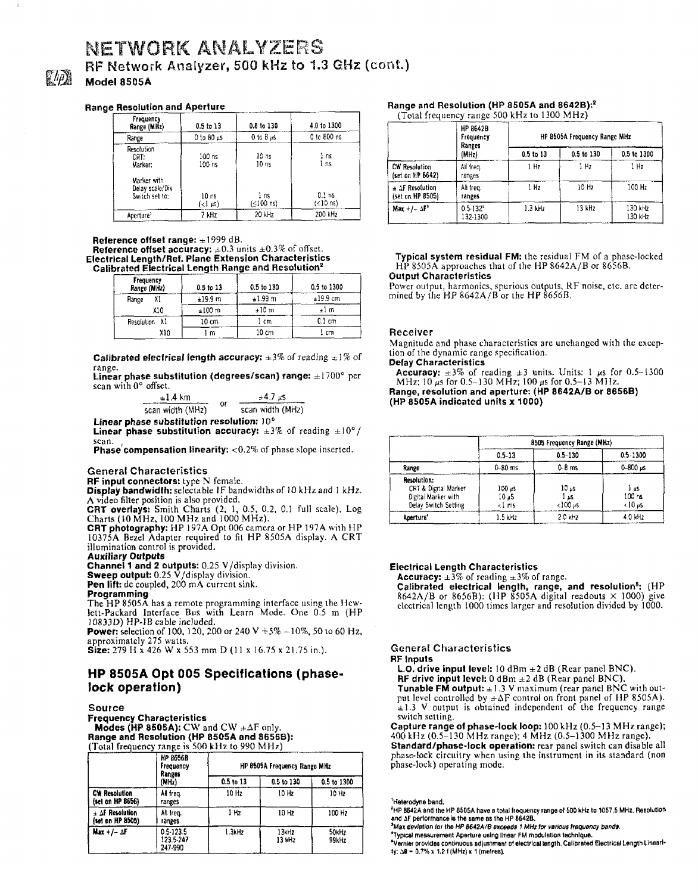## NETWORK ANALYZERS RF Network Analyzer, 500 kHz to 1.3 GHz (cont.) Model 8505A

#### Range Resolution and Aperture

| Frequency<br>Range (MHz)                         | $0.5$ to $13$    | 0.8 to 130          | 4.0 to 1300                                  |
|--------------------------------------------------|------------------|---------------------|----------------------------------------------|
| Range                                            | 0 to 80 µs       | 0 to 8 $\mu$ s      | 0 to 800 ns                                  |
| Resolution<br>CRT:<br>Marker:                    | 100 ns<br>100 ns | 10 ns<br>10 ns      | l ns<br>l ns                                 |
| Marker with<br>Delay scale/Div<br>Switch set to: | 10 ns<br>(<1 µs) | 1 ns<br>$(≤100$ ns) | 0.1 <sub>ns</sub><br>$( \leq 10 \text{ ns})$ |
| Aperture'                                        | 7 kHz            | 20 kHz              | 200 kHz                                      |

Reference offset range:  $\pm 1999$  dB. Reference offset accuracy:  $\pm 0.3$  units  $\pm 0.3\%$  of offset. Electrical Length/Ref . Plane Extension Characteristics Calibrated Electrical Length Range and Resolution'

| Frequency<br>Range (MHz) |     | $0.5$ to $13$ | 0.5 to 130 | 0.5 to 1300 |
|--------------------------|-----|---------------|------------|-------------|
| Range                    | Х1  | ±19.9 m       | ±1.99 m    | $±19.9$ cm  |
|                          | X10 | ±100 m        | ±10 m      | $\pm 1$ m   |
| Resolution X1            |     | 10 cm         | 1 cm       | 0.1 cm      |
|                          | X10 | l m           | 10 cm      | 1 cm        |

**Calibrated electrical length accuracy:**  $\pm 3\%$  of reading  $\pm 1\%$  of range .

Linear phase substitution (degrees/scan) range:  $\pm 1700^\circ$  per scan with 0° offset.

| $\pm 1.4~$ km    |    | $±47~\mu$ s      |  |
|------------------|----|------------------|--|
| scan width (MHz) | ٥r | scan width (MHz) |  |

Linear phase substitution resolution : )0° **Linear phase substitution accuracy:**  $\pm 3\%$  of reading  $\pm 10^{\circ}/$ <br>scan.

scan.<br>**Phase compensation linearity:** <0.2% of phase slope inserted.

#### General Characteristics

RF input connectors: type N female.

Display bandwidth: selectable IF bandwidths of <sup>10</sup> kHz and <sup>1</sup> kHz.

A video filter position is also provided.<br>CRT overlays: Smith Charts (2, 1, 0.5, 0.2, 0.1 full scale), Log<br>Charts (10 MHz, 100 MHz and 1000 MHz).

CRT photography: HP 197A Opt <sup>006</sup> camera or HP 197A with HP 10375A Bezel Adapter required to fit HP 9505A display. A CRT illumination control is provided .

Auxiliary Outputs Channel 1 and 2 outputs: 0.25 V/display division .

**Sweep output:** 0.25 V/display division.<br>**Pen lift:** de coupled, 200 mA current sink.<br>**Pengammine** 

## Programming

The HP 8505A has a remote programming interface using the Hew-<br>lett-Packard Interface Bus with Learn Mode. One 0.5 m (HP<br>10833D) HP-IB cable included.

**Power:** selection of 100, 120, 200 or 240 V  $+5\% -10\%$ , 50 to 60 Hz, approximately 275 watts.

Size: 279 H x 426 W x 553 mm D (11 x 16.75 x 21.75 in.).

## HP 8505A Opt 005 Specifications (phaselock operation)

#### SOurce

Frequency Characteristics Modes (HP 8505A): CW and CW  $\pm \Delta F$  only Range and Resolution (HP 8505A and 86568): (Total frequency range is 500 kHz to 990 MHz)

|                                          | <b>HP 8656B</b><br>Frequency<br>Ranges<br>(MHz) | HP 8505A Frequency Range MHz |                 |                |  |
|------------------------------------------|-------------------------------------------------|------------------------------|-----------------|----------------|--|
|                                          |                                                 | 0.5 to 13                    | 0.5 to 130      | 0.5 to 1300    |  |
| <b>CW Resolution</b><br>(set on HP 8656) | All freq.<br>ranges                             | 10 Hz                        | 10 Hz           | 10 Hz          |  |
| $\pm$ AF Resolution<br>(set on HP 8505)  | All Ireg.<br>ranges                             | 1 Hz                         | 10 Hz           | 100 Hz         |  |
| $Max + 1 - AF$                           | 0.5-123.5<br>123.5.247<br>247.990               | 1.3kHz                       | 13kHz<br>13 kHz | 50kHz<br>99kHz |  |

#### Range and Resolution (HP 8505A and 86428)?

(Total frequency range <sup>500</sup> kHz to <sup>1300</sup> MHz) \_

|                                                 | <b>HP 8642B</b><br>Frequency<br>Ranges<br>(MHz) |               | HP 8505A Frequency Range MHz |                    |
|-------------------------------------------------|-------------------------------------------------|---------------|------------------------------|--------------------|
|                                                 |                                                 | $0.5$ to $13$ | 0.5 to 130                   | 0.5 to 1300        |
| CW Resolution<br>(set on HP 8642)               | All freq.<br>ranges                             | 1 Hz          | 1 Hz                         | 1 Hz               |
| $\pm$ $\Delta$ F Resolution<br>(set on HP 8505) | All freq.<br>ranges                             | 1 Hz          | 10 Hz                        | 100 Hz             |
| $Max +/- \Delta F^*$                            | $0.5 - 132$<br>132-1300                         | 1.3 kHz       | 13 kHz                       | 130 kHz<br>130 kHz |

Typical system residual FM: the residual FM of <sup>a</sup> phase-lacked HP 8505A approaches that of the HP 8642A/B or 8656B. Output Characteristics

Power output, harmonics, spurious outputs, RF noise, etc. are determined by the HP 8642A/B or the HP 8656B.

#### Receiver

Magnitude and phase characteristics are unchanged with the exception of the dynamic range specification.

Delay Characteristics

Accuracy:  $\pm 3\%$  of reading  $\pm 3$  units. Units: 1  $\mu$ s for 0.5-1300<br>MHz; 10  $\mu$ s for 0.5-130 MHz; 100  $\mu$ s for 0.5-13 MHz. Range, resolution and aperture: (HP 8642A/B or 8656B) (HP 8505A indicated units x 1000)

|                                                                                    | 8505 Frequency Range (MHz)       |                                                       |                                              |
|------------------------------------------------------------------------------------|----------------------------------|-------------------------------------------------------|----------------------------------------------|
|                                                                                    | $0.5 - 13$                       | $0.5 - 130$                                           | $0.5 - 1300$                                 |
| Range                                                                              | $0 - 80$ ms                      | $0-8$ ms                                              | $0 - 800$ us                                 |
| Resolution:<br>CRT & Digital Marker<br>Digital Marker with<br>Delay Switch Setting | $100$ as<br>10 aS<br>$\leq$ 1 ms | 10 <sub>5</sub><br>ی 1<br>$< 100 \text{ }\mu\text{s}$ | ì as<br>100 ns<br>$< 10 \text{ }\mu\text{s}$ |
| Aperture <sup>*</sup>                                                              | 1.5 kHz                          | 2.0 kHz                                               | 4.0 kHz                                      |

#### Electrical Length Characteristics

Accuracy:  $\pm 3\%$  of reading  $\pm 3\%$  of range.

Calibrated electrical length, range, and resolution<sup>5</sup>: (HP 8642A/B or 86568): (IIP 8505A digital readouts X 1000) give electrical length 1000 times larger and resolution divided by 1000.

#### General Characteristics RF Inputs

**L.O. drive input level:** 10 dBm  $\pm 2$  dB (Rear panel BNC). RF drive input level:  $0$  dBm  $\pm 2$  dB (Rear panel BNC).

Tunable FM output:  $\pm 1.3$  V maximum (rear panel BNC with output level controlled by  $\pm \Delta F$  control on front panel of HP 8505A).<br> $\pm 1.3$  V output is obtained independent of the frequency range switch setting.

Capture range of phase-lock loop: 100 kHz (0.5-13 MHz range); <sup>400</sup> kHz (0 .5-130 M Hz range) ; <sup>4</sup> MHz (0 .5-1300 MHz range) . Standard/phase-lock operation: rear panel switch can disable all phase-lock circuitry when using the instrument in its standard (non phase-lock) operating mode,

'Heterodyne band,

'HP 8642A and the HP 8505A have a total frequency range of 500 kHz to 1057.5 MHz. Resolution and  $\Delta F$  performance is the same as the HP 8642B.

In the HP resolution of the Band as the HP of the HP.<br>Max deviation for the HP 8642A/B exceeds 1 MHz for various frequency bands.

`Typical measurement Aperture using linear FM modulation technique.

'Vernier provides continuous adjustment of electrical length Calibrated Electrical Length Linearity:  $\Delta\theta$  = 0.7% x 1.21 (MHz) x 1 (metres).

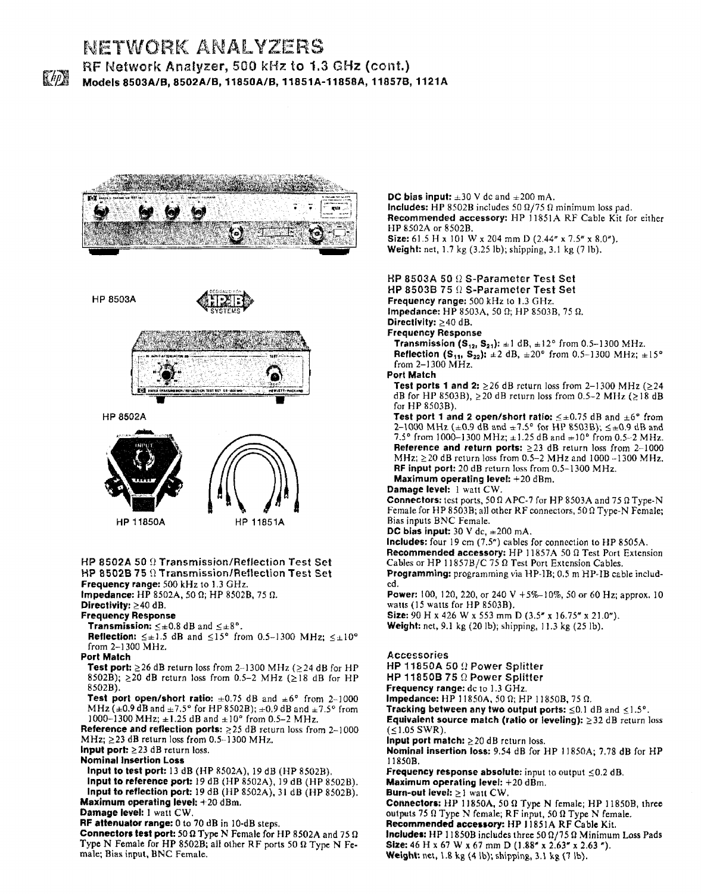

## NETWORK ANALYZERS RF Network Analyzer, 500 kHz to 1.3 GHz (cont.) Models 8503A/B, 8502A/B, 11850A/B, 11851A-11858A, 11857B, 1121A





HP 11850A HP 11851A

#### HP 8502A 50 9 Transmission/Reflection Test Set HP 8502B 75  $\Omega$  Transmission/Reflection Test Set Frequency range: 500 kHz to 1.3 GHz.

Impedance: HP 8502A, 50 0; HP 85028, <sup>75</sup> 0.

## Directivity:  $\geq$  40 dB.

Frequency Response

**Transmission:**  $\leq \pm 0.8$  dB and  $\leq \pm 8^{\circ}$ .

**Reflection:**  $\leq \pm 1.5$  dB and  $\leq 15^{\circ}$  from 0.5-1300 MHz;  $\leq \pm 10^{\circ}$ from 2-1300 MHz.

Port Match

**Test port:**  $\geq$  26 dB return loss from 2-1300 MHz ( $\geq$  24 dB for HP 8502B);  $\geq$  20 dB return loss from 0.5-2 MHz ( $\geq$  18 dB for HP 85028).

Test port open/short ratio:  $\pm 0.75$  dB and  $\pm 6^{\circ}$  from 2-1000 MHz ( $\pm$ 0.9 dB and  $\pm$ 7.5° for HP 8502B);  $\pm$ 0.9 dB and  $\pm$ 7.5° from 1000-1300 MHz;  $\pm 1.25$  dB and  $\pm 10^{\circ}$  from 0.5-2 MHz.

Reference and reflection ports:  $\geq$  25 dB return loss from 2-1000 MHz;  $\geq$  23 dB return loss from 0.5-1300 MHz.

Input port:  $\geq$  23 dB return loss.

Nominal Insertion Loss

Input to test port: <sup>13</sup> dB (HP 8502A), <sup>19</sup> dB (HP 85028).

Input to reference port: 19 dB (HP 8502A), <sup>19</sup> dB (HP 8502B).

Input to reflection port: 19 dB (HP 8502A), <sup>31</sup> dB (HP 85028) . Maximum operating level:  $+20$  dBm.

Damage level: 1 watt CW,

RF attenuator range: 0 to 70 dB in 10-dB steps.

Connectors test port: 50  $\Omega$  Type N Female for HP 8502A and 75  $\Omega$ Type N Female for HP 8502B; all other RF ports 50  $\Omega$  Type N Female; Bias input, BNC Female.

DC bias input:  $\pm 30$  V de and  $\pm 200$  mA. Includes: HP 8502B includes 50  $\Omega/75 \Omega$  minimum loss pad. Recommended accessory: HP 11851A RF Cable Kit for either HP 8502A or 85028. Size: 61.5 H x 101 W x 204 mm D (2.44" x 7.5" x 8.0"). Weight: net, 1.7 kg (3.25 lb); shipping, 3.1 kg (7 lb).

## HP 8503A 50  $\Omega$  S-Parameter Test Set

HP 8503B 75  $\Omega$  S-Parameter Test Set

Frequency range: 500 kHz to 1.3 GHz. Impedance: HP 8503A, 50  $\Omega$ ; HP 8503B, 75  $\Omega$ .

Directivity:  $\geq$  40 dB.

Frequency Response

**Transmission (S<sub>12</sub>, S<sub>21</sub>):**  $\pm 1$  dB,  $\pm 12^{\circ}$  from 0.5-1300 MHz. Reflection (S<sub>11</sub>, S<sub>22</sub>):  $\pm 2$  dB,  $\pm 20^{\circ}$  from 0.5-1300 MHz;  $\pm 15^{\circ}$ from 2-1300 MHz.

Port Match

Test ports 1 and 2:  $\geq$  26 dB return loss from 2-1300 MHz ( $\geq$  24 dB for HP 8503B),  $\geq$ 20 dB return loss from 0.5-2 MHz ( $\geq$ 18 dB for HP 85038) .

Test port 1 and 2 open/short ratio:  $\leq \pm 0.75$  dB and  $\pm 6^{\circ}$  from 2-1000 MHz ( $\pm$ 0.9 dB and  $\pm$ 7.5° for HP 8503B);  $\leq \pm$ 0.9 dB and 7.5° from 1000-1300 MHz;  $\pm$ 1.25 dB and  $\pm$ 10° from 0.5-2 MHz. Reference and return ports:  $\geq$ 23 dB return loss from 2-1000 MHz;  $\geq$  20 dB return loss from 0.5-2 MHz and 1000 --1300 MHz. RF input port: 20 dB return loss from 0.5-1300 MHz.

Maximum operating level:  $+20$  dBm.

## Damage level: 1 watt CW.

**Connectors:** test ports, 50  $\Omega$  APC-7 for HP 8503A and 75  $\Omega$  Type-N Female for HP 8503B; all other RF connectors, 50  $\Omega$  Type-N Female; Bias inputs BNC Female.

DC bias input:  $30$  V dc,  $\pm 200$  mA.

Includes: four 19 cm  $(7.5<sup>n</sup>)$  cables for connection to HP 8505A.

Recommended accessory: HP 11857A 50 0 Test Port Extension Cables or HP 11857B/C 75  $\Omega$  Test Port Extension Cables.

Programming: programming via HP-1B; 0.5 m HP-1B cable included .

Power: 100, 120, 220, or 240 V +5%-10%, 50 or 60 Hz; approx. 10 watts (15 watts for HP 8503B).

Size: 90 H x 426 W x 553 mm D (3.5" x 16.75" x 21.0"). **Weight:** net, 9.1 kg (20 lb); shipping, 11.3 kg (25 lb).

## Accessories

HP 11850A 50  $\Omega$  Power Splitter HP 11850B 75  $\Omega$  Power Splitter Frequency range: dc to 1.3 GHz. Impedance: HP 11850A, 50  $\Omega$ ; HP 11850B, 75  $\Omega$ . Tracking between any two output ports:  $\leq 0.1$  dB and  $\leq 1.5^{\circ}$ . Equivalent source match (ratio or leveling):  $\geq$ 32 dB return loss  $( \leq 1.05$  SWR). Input port match:  $>20$  dB return loss. Nominal insertion loss: 9.54 dB for HP 11850A; 7.78 dB for HP 118508. Frequency response absolute: input to output  $\leq 0.2$  dB. Maximum operating level:  $+20$  dBm. Burn-out level:  $\geq 1$  watt CW. Connectors: HP 11850A, 50  $\Omega$  Type N female; HP 11850B, three outputs 75  $\Omega$  Type N female; RF input, 50  $\Omega$  Type N female. Recommended accessory: HP 11851A RF Cable Kit. Includes: HP 11850B includes three 50  $\Omega/75 \Omega$  Minimum Loss Pads Size: 46 H x 67 W x 67 mm D (1.88" x 2.63" x 2.63"). Weight: net, 1.8 kg (4 lb); shipping, 3.1 kg (7 lb).